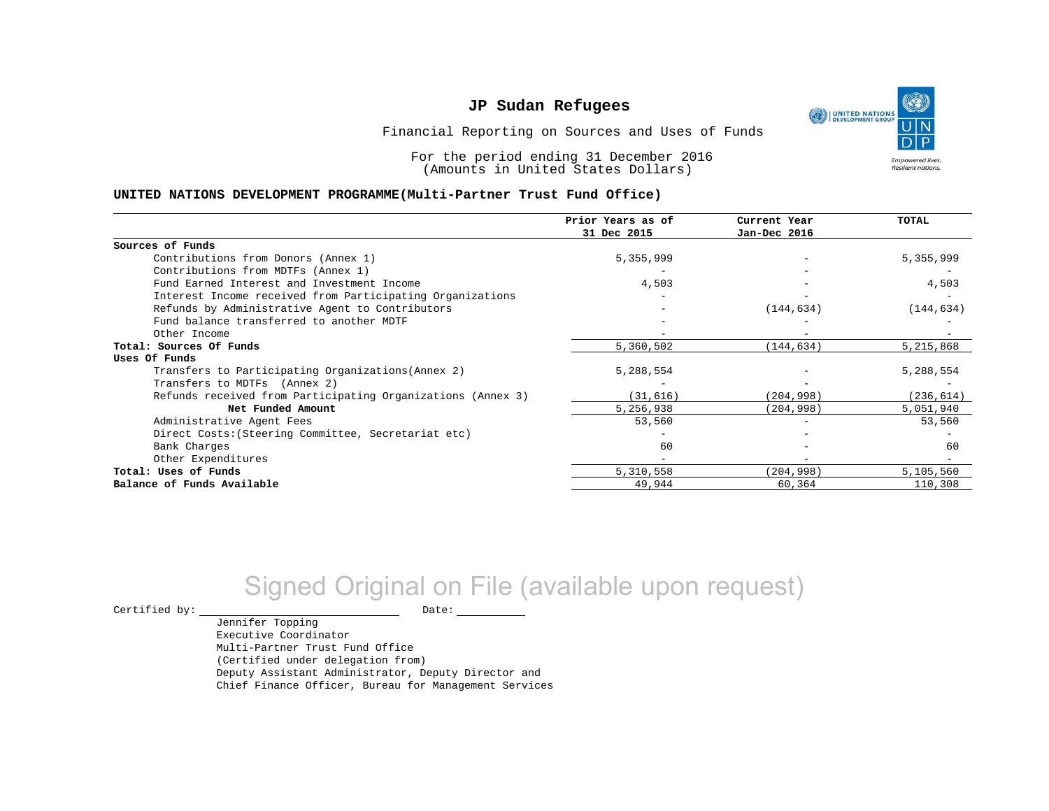UNITED NATIONS **Empowered lives** Resilient nations.

Financial Reporting on Sources and Uses of Funds

For the period ending 31 December 2016 (Amounts in United States Dollars)

#### **UNITED NATIONS DEVELOPMENT PROGRAMME(Multi-Partner Trust Fund Office)**

|                                                             | Prior Years as of<br>31 Dec 2015 | Current Year<br>Jan-Dec 2016 | <b>TOTAL</b> |
|-------------------------------------------------------------|----------------------------------|------------------------------|--------------|
|                                                             |                                  |                              |              |
| Sources of Funds                                            |                                  |                              |              |
| Contributions from Donors (Annex 1)                         | 5,355,999                        |                              | 5,355,999    |
| Contributions from MDTFs (Annex 1)                          |                                  |                              |              |
| Fund Earned Interest and Investment Income                  | 4,503                            |                              | 4,503        |
| Interest Income received from Participating Organizations   |                                  |                              |              |
| Refunds by Administrative Agent to Contributors             |                                  | (144, 634)                   | (144, 634)   |
| Fund balance transferred to another MDTF                    |                                  |                              |              |
| Other Income                                                |                                  |                              |              |
| Total: Sources Of Funds                                     | 5,360,502                        | (144, 634)                   | 5,215,868    |
| Uses Of Funds                                               |                                  |                              |              |
| Transfers to Participating Organizations (Annex 2)          | 5,288,554                        |                              | 5,288,554    |
| Transfers to MDTFs (Annex 2)                                |                                  |                              |              |
| Refunds received from Participating Organizations (Annex 3) | (31, 616)                        | (204, 998)                   | (236, 614)   |
| Net Funded Amount                                           | 5,256,938                        | (204, 998)                   | 5,051,940    |
| Administrative Agent Fees                                   | 53,560                           | $\overline{\phantom{0}}$     | 53,560       |
| Direct Costs: (Steering Committee, Secretariat etc)         |                                  |                              |              |
| Bank Charges                                                | 60                               |                              | 60           |
| Other Expenditures                                          |                                  |                              |              |
| Total: Uses of Funds                                        | 5,310,558                        | (204,998)                    | 5,105,560    |
| Balance of Funds Available                                  | 49,944                           | 60,364                       | 110,308      |

# Signed Original on File (available upon request)

 $\begin{tabular}{ccccc} \multicolumn{2}{c|}{\textbf{Certified by:}} & \multicolumn{2}{c|}{\textbf{Date:}} \end{tabular}$ 

Jennifer Topping Executive Coordinator Multi-Partner Trust Fund Office (Certified under delegation from) Deputy Assistant Administrator, Deputy Director and Chief Finance Officer, Bureau for Management Services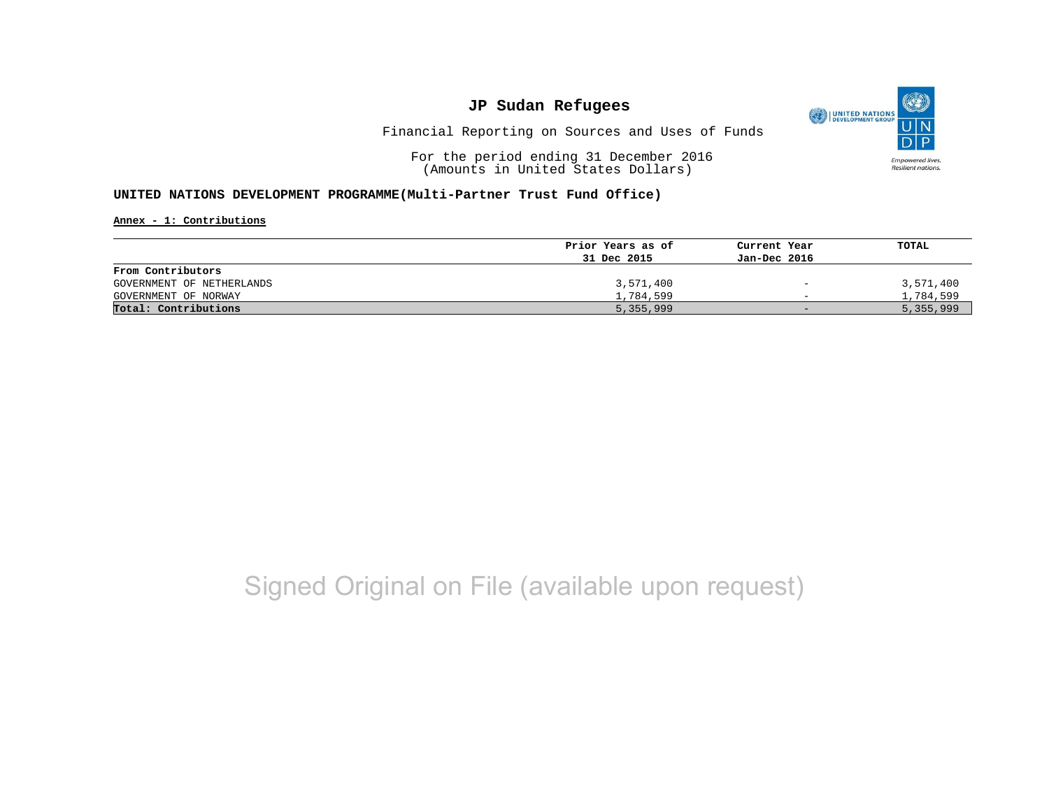

Financial Reporting on Sources and Uses of Funds

For the period ending 31 December 2016 (Amounts in United States Dollars)

#### **UNITED NATIONS DEVELOPMENT PROGRAMME(Multi-Partner Trust Fund Office)**

**Annex - 1: Contributions**

|                           | Prior Years as of | Current Year             | TOTAL     |
|---------------------------|-------------------|--------------------------|-----------|
|                           | 31 Dec 2015       | Jan-Dec 2016             |           |
| From Contributors         |                   |                          |           |
| GOVERNMENT OF NETHERLANDS | 3,571,400         | $\overline{\phantom{a}}$ | 3,571,400 |
| GOVERNMENT OF NORWAY      | 1,784,599         | $\overline{\phantom{0}}$ | 1,784,599 |
| Total: Contributions      | 5,355,999         | $-$                      | 5,355,999 |

# Signed Original on File (available upon request)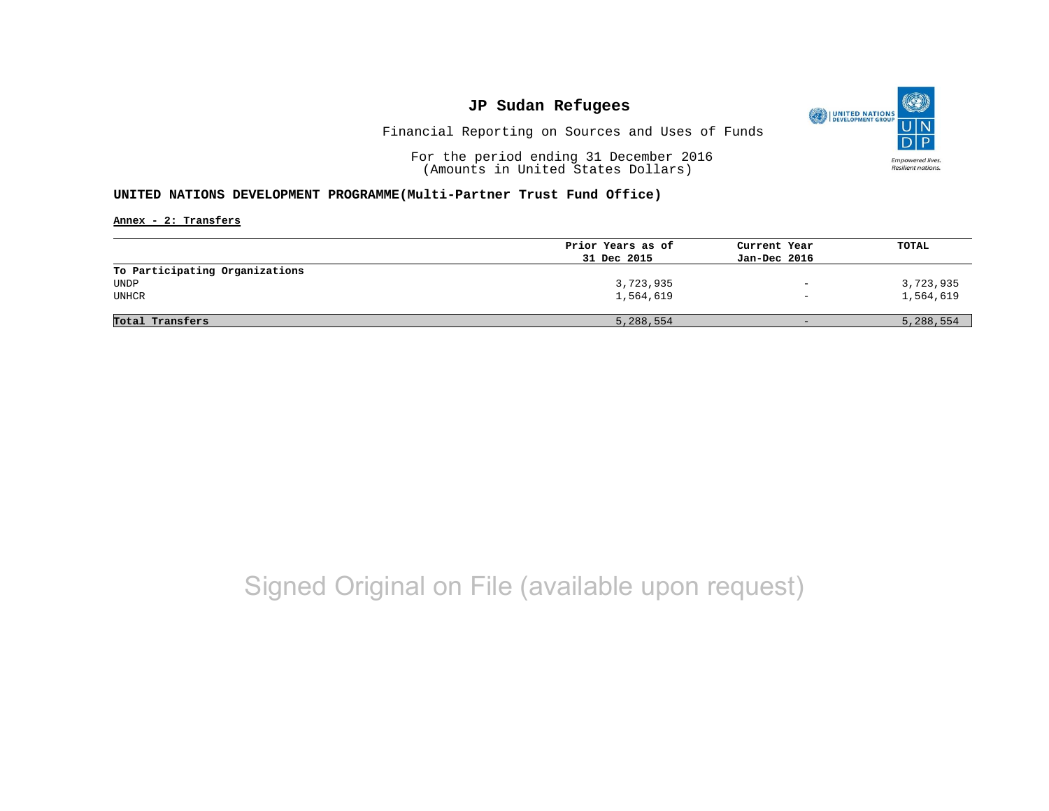

Financial Reporting on Sources and Uses of Funds

For the period ending 31 December 2016 (Amounts in United States Dollars)

#### **UNITED NATIONS DEVELOPMENT PROGRAMME(Multi-Partner Trust Fund Office)**

**Annex - 2: Transfers**

|                                | Prior Years as of | Current Year             | TOTAL     |
|--------------------------------|-------------------|--------------------------|-----------|
|                                | 31 Dec 2015       | Jan-Dec 2016             |           |
| To Participating Organizations |                   |                          |           |
| UNDP                           | 3,723,935         | $\overline{\phantom{0}}$ | 3,723,935 |
| UNHCR                          | 1,564,619         | $\qquad \qquad -$        | 1,564,619 |
|                                |                   |                          |           |
| Total Transfers                | 5,288,554         | $-$                      | 5,288,554 |
|                                |                   |                          |           |

## Signed Original on File (available upon request)